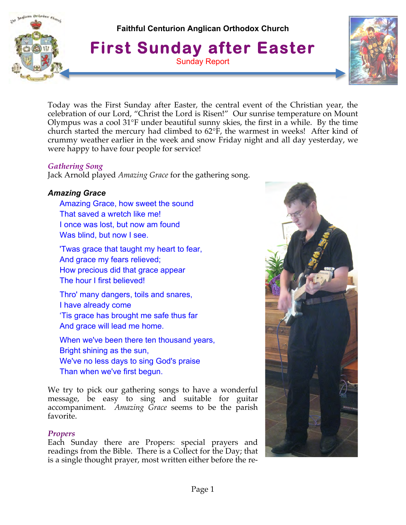

**Faithful Centurion Anglican Orthodox Church**

**First Sunday after Easter** Sunday Report



Today was the First Sunday after Easter, the central event of the Christian year, the celebration of our Lord, "Christ the Lord is Risen!" Our sunrise temperature on Mount Olympus was a cool 31°F under beautiful sunny skies, the first in a while. By the time church started the mercury had climbed to 62°F, the warmest in weeks! After kind of crummy weather earlier in the week and snow Friday night and all day yesterday, we were happy to have four people for service!

### *Gathering Song*

Jack Arnold played *Amazing Grace* for the gathering song.

# *Amazing Grace*

Amazing Grace, how sweet the sound That saved a wretch like me! I once was lost, but now am found Was blind, but now I see.

'Twas grace that taught my heart to fear, And grace my fears relieved; How precious did that grace appear The hour I first believed!

Thro' many dangers, toils and snares, I have already come 'Tis grace has brought me safe thus far And grace will lead me home.

When we've been there ten thousand years, Bright shining as the sun, We've no less days to sing God's praise Than when we've first begun.

We try to pick our gathering songs to have a wonderful message, be easy to sing and suitable for guitar accompaniment. *Amazing Grace* seems to be the parish favorite.

# *Propers*

Each Sunday there are Propers: special prayers and readings from the Bible. There is a Collect for the Day; that is a single thought prayer, most written either before the re-

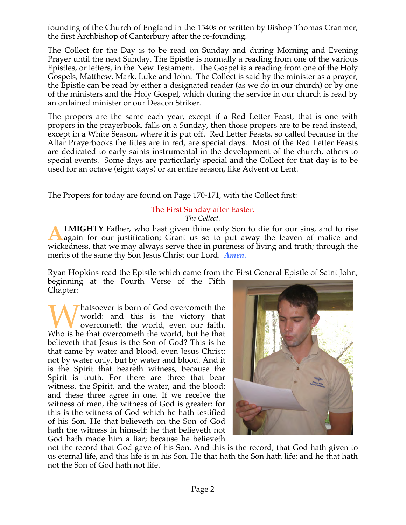founding of the Church of England in the 1540s or written by Bishop Thomas Cranmer, the first Archbishop of Canterbury after the re-founding.

The Collect for the Day is to be read on Sunday and during Morning and Evening Prayer until the next Sunday. The Epistle is normally a reading from one of the various Epistles, or letters, in the New Testament. The Gospel is a reading from one of the Holy Gospels, Matthew, Mark, Luke and John. The Collect is said by the minister as a prayer, the Epistle can be read by either a designated reader (as we do in our church) or by one of the ministers and the Holy Gospel, which during the service in our church is read by an ordained minister or our Deacon Striker.

The propers are the same each year, except if a Red Letter Feast, that is one with propers in the prayerbook, falls on a Sunday, then those propers are to be read instead, except in a White Season, where it is put off. Red Letter Feasts, so called because in the Altar Prayerbooks the titles are in red, are special days. Most of the Red Letter Feasts are dedicated to early saints instrumental in the development of the church, others to special events. Some days are particularly special and the Collect for that day is to be used for an octave (eight days) or an entire season, like Advent or Lent.

The Propers for today are found on Page 170-171, with the Collect first:

#### The First Sunday after Easter. *The Collect.*

**LMIGHTY** Father, who hast given thine only Son to die for our sins, and to rise again for our justification; Grant us so to put away the leaven of malice and wickedness, that we may always serve thee in pureness of living and truth; through the merits of the same thy Son Jesus Christ our Lord. *Amen.* **A**

Ryan Hopkins read the Epistle which came from the First General Epistle of Saint John, beginning at the Fourth Verse of the Fifth Chapter:

hatsoever is born of God overcometh the world: and this is the victory that overcometh the world, even our faith. Whatsoever is born of God overcometh the world: and this is the victory that overcometh the world, even our faith. Who is he that overcometh the world, but he that believeth that Jesus is the Son of God? This is he that came by water and blood, even Jesus Christ; not by water only, but by water and blood. And it is the Spirit that beareth witness, because the Spirit is truth. For there are three that bear witness, the Spirit, and the water, and the blood: and these three agree in one. If we receive the witness of men, the witness of God is greater: for this is the witness of God which he hath testified of his Son. He that believeth on the Son of God hath the witness in himself: he that believeth not God hath made him a liar; because he believeth



not the record that God gave of his Son. And this is the record, that God hath given to us eternal life, and this life is in his Son. He that hath the Son hath life; and he that hath not the Son of God hath not life.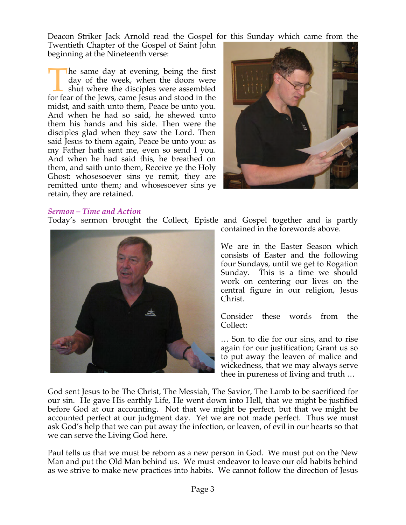Deacon Striker Jack Arnold read the Gospel for this Sunday which came from the Twentieth Chapter of the Gospel of Saint John beginning at the Nineteenth verse:

he same day at evening, being the first day of the week, when the doors were shut where the disciples were assembled The same day at evening, being the first day of the week, when the doors were shut where the disciples were assembled for fear of the Jews, came Jesus and stood in the midst, and saith unto them, Peace be unto you. And when he had so said, he shewed unto them his hands and his side. Then were the disciples glad when they saw the Lord. Then said Jesus to them again, Peace be unto you: as my Father hath sent me, even so send I you. And when he had said this, he breathed on them, and saith unto them, Receive ye the Holy Ghost: whosesoever sins ye remit, they are remitted unto them; and whosesoever sins ye retain, they are retained.



#### *Sermon – Time and Action*

Today's sermon brought the Collect, Epistle and Gospel together and is partly



contained in the forewords above.

We are in the Easter Season which consists of Easter and the following four Sundays, until we get to Rogation Sunday. This is a time we should work on centering our lives on the central figure in our religion, Jesus Christ.

Consider these words from the Collect:

… Son to die for our sins, and to rise again for our justification; Grant us so to put away the leaven of malice and wickedness, that we may always serve thee in pureness of living and truth …

God sent Jesus to be The Christ, The Messiah, The Savior, The Lamb to be sacrificed for our sin. He gave His earthly Life, He went down into Hell, that we might be justified before God at our accounting. Not that we might be perfect, but that we might be accounted perfect at our judgment day. Yet we are not made perfect. Thus we must ask God's help that we can put away the infection, or leaven, of evil in our hearts so that we can serve the Living God here.

Paul tells us that we must be reborn as a new person in God. We must put on the New Man and put the Old Man behind us. We must endeavor to leave our old habits behind as we strive to make new practices into habits. We cannot follow the direction of Jesus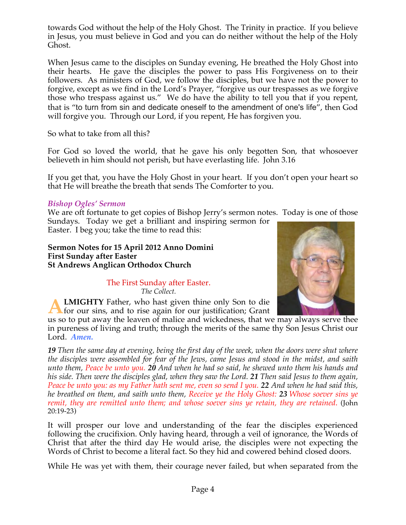towards God without the help of the Holy Ghost. The Trinity in practice. If you believe in Jesus, you must believe in God and you can do neither without the help of the Holy Ghost.

When Jesus came to the disciples on Sunday evening, He breathed the Holy Ghost into their hearts. He gave the disciples the power to pass His Forgiveness on to their followers. As ministers of God, we follow the disciples, but we have not the power to forgive, except as we find in the Lord's Prayer, "forgive us our trespasses as we forgive those who trespass against us." We do have the ability to tell you that if you repent, that is "to turn from sin and dedicate oneself to the amendment of one's life", then God will forgive you. Through our Lord, if you repent, He has forgiven you.

So what to take from all this?

For God so loved the world, that he gave his only begotten Son, that whosoever believeth in him should not perish, but have everlasting life. John 3.16

If you get that, you have the Holy Ghost in your heart. If you don't open your heart so that He will breathe the breath that sends The Comforter to you.

### *Bishop Ogles' Sermon*

We are oft fortunate to get copies of Bishop Jerry's sermon notes. Today is one of those Sundays. Today we get a brilliant and inspiring sermon for

Easter. I beg you; take the time to read this:

#### **Sermon Notes for 15 April 2012 Anno Domini First Sunday after Easter St Andrews Anglican Orthodox Church**

The First Sunday after Easter. *The Collect.*



us so to put away the leaven of malice and wickedness, that we may always serve thee in pureness of living and truth; through the merits of the same thy Son Jesus Christ our Lord. *Amen.*

*19 Then the same day at evening, being the first day of the week, when the doors were shut where the disciples were assembled for fear of the Jews, came Jesus and stood in the midst, and saith unto them, Peace be unto you. 20 And when he had so said, he shewed unto them his hands and his side. Then were the disciples glad, when they saw the Lord. 21 Then said Jesus to them again, Peace be unto you: as my Father hath sent me, even so send I you. 22 And when he had said this, he breathed on them, and saith unto them, Receive ye the Holy Ghost: 23 Whose soever sins ye remit, they are remitted unto them; and whose soever sins ye retain, they are retained*. (John 20:19-23)

It will prosper our love and understanding of the fear the disciples experienced following the crucifixion. Only having heard, through a veil of ignorance, the Words of Christ that after the third day He would arise, the disciples were not expecting the Words of Christ to become a literal fact. So they hid and cowered behind closed doors.

While He was yet with them, their courage never failed, but when separated from the

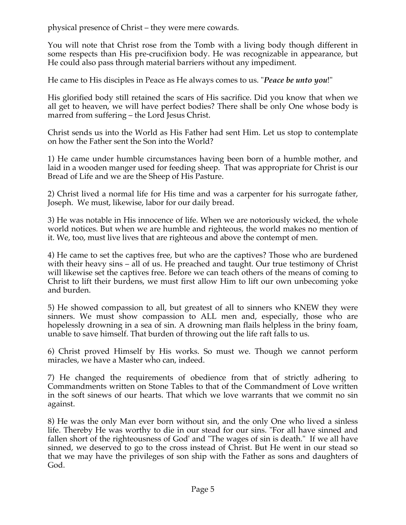physical presence of Christ – they were mere cowards.

You will note that Christ rose from the Tomb with a living body though different in some respects than His pre-crucifixion body. He was recognizable in appearance, but He could also pass through material barriers without any impediment.

He came to His disciples in Peace as He always comes to us. "*Peace be unto you*!"

His glorified body still retained the scars of His sacrifice. Did you know that when we all get to heaven, we will have perfect bodies? There shall be only One whose body is marred from suffering – the Lord Jesus Christ.

Christ sends us into the World as His Father had sent Him. Let us stop to contemplate on how the Father sent the Son into the World?

1) He came under humble circumstances having been born of a humble mother, and laid in a wooden manger used for feeding sheep. That was appropriate for Christ is our Bread of Life and we are the Sheep of His Pasture.

2) Christ lived a normal life for His time and was a carpenter for his surrogate father, Joseph. We must, likewise, labor for our daily bread.

3) He was notable in His innocence of life. When we are notoriously wicked, the whole world notices. But when we are humble and righteous, the world makes no mention of it. We, too, must live lives that are righteous and above the contempt of men.

4) He came to set the captives free, but who are the captives? Those who are burdened with their heavy sins – all of us. He preached and taught. Our true testimony of Christ will likewise set the captives free. Before we can teach others of the means of coming to Christ to lift their burdens, we must first allow Him to lift our own unbecoming yoke and burden.

5) He showed compassion to all, but greatest of all to sinners who KNEW they were sinners. We must show compassion to ALL men and, especially, those who are hopelessly drowning in a sea of sin. A drowning man flails helpless in the briny foam, unable to save himself. That burden of throwing out the life raft falls to us.

6) Christ proved Himself by His works. So must we. Though we cannot perform miracles, we have a Master who can, indeed.

7) He changed the requirements of obedience from that of strictly adhering to Commandments written on Stone Tables to that of the Commandment of Love written in the soft sinews of our hearts. That which we love warrants that we commit no sin against.

8) He was the only Man ever born without sin, and the only One who lived a sinless life. Thereby He was worthy to die in our stead for our sins. "For all have sinned and fallen short of the righteousness of God' and "The wages of sin is death." If we all have sinned, we deserved to go to the cross instead of Christ. But He went in our stead so that we may have the privileges of son ship with the Father as sons and daughters of God.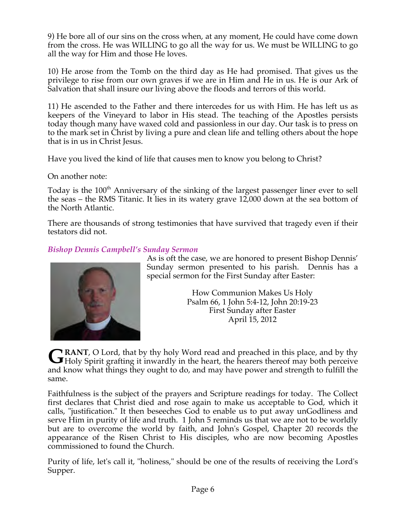9) He bore all of our sins on the cross when, at any moment, He could have come down from the cross. He was WILLING to go all the way for us. We must be WILLING to go all the way for Him and those He loves.

10) He arose from the Tomb on the third day as He had promised. That gives us the privilege to rise from our own graves if we are in Him and He in us. He is our Ark of Salvation that shall insure our living above the floods and terrors of this world.

11) He ascended to the Father and there intercedes for us with Him. He has left us as keepers of the Vineyard to labor in His stead. The teaching of the Apostles persists today though many have waxed cold and passionless in our day. Our task is to press on to the mark set in Christ by living a pure and clean life and telling others about the hope that is in us in Christ Jesus.

Have you lived the kind of life that causes men to know you belong to Christ?

On another note:

Today is the 100<sup>th</sup> Anniversary of the sinking of the largest passenger liner ever to sell the seas – the RMS Titanic. It lies in its watery grave 12,000 down at the sea bottom of the North Atlantic.

There are thousands of strong testimonies that have survived that tragedy even if their testators did not.

# *Bishop Dennis Campbell's Sunday Sermon*



As is oft the case, we are honored to present Bishop Dennis' Sunday sermon presented to his parish. Dennis has a special sermon for the First Sunday after Easter:

> How Communion Makes Us Holy Psalm 66, 1 John 5:4-12, John 20:19-23 First Sunday after Easter April 15, 2012

**RANT**, O Lord, that by thy holy Word read and preached in this place, and by thy GRANT, O Lord, that by thy holy Word read and preached in this place, and by thy Holy Spirit grafting it inwardly in the heart, the hearers thereof may both perceive and know what things they ought to do, and may have power and strength to fulfill the same.

Faithfulness is the subject of the prayers and Scripture readings for today. The Collect first declares that Christ died and rose again to make us acceptable to God, which it calls, "justification." It then beseeches God to enable us to put away unGodliness and serve Him in purity of life and truth. 1 John 5 reminds us that we are not to be worldly but are to overcome the world by faith, and John's Gospel, Chapter 20 records the appearance of the Risen Christ to His disciples, who are now becoming Apostles commissioned to found the Church.

Purity of life, let's call it, "holiness," should be one of the results of receiving the Lord's Supper.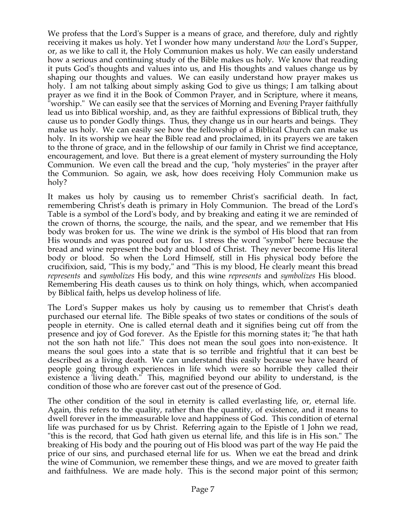We profess that the Lord's Supper is a means of grace, and therefore, duly and rightly receiving it makes us holy. Yet I wonder how many understand *how* the Lord's Supper, or, as we like to call it, the Holy Communion makes us holy. We can easily understand how a serious and continuing study of the Bible makes us holy. We know that reading it puts God's thoughts and values into us, and His thoughts and values change us by shaping our thoughts and values. We can easily understand how prayer makes us holy. I am not talking about simply asking God to give us things; I am talking about prayer as we find it in the Book of Common Prayer, and in Scripture, where it means, "worship." We can easily see that the services of Morning and Evening Prayer faithfully lead us into Biblical worship, and, as they are faithful expressions of Biblical truth, they cause us to ponder Godly things. Thus, they change us in our hearts and beings. They make us holy. We can easily see how the fellowship of a Biblical Church can make us holy. In its worship we hear the Bible read and proclaimed, in its prayers we are taken to the throne of grace, and in the fellowship of our family in Christ we find acceptance, encouragement, and love. But there is a great element of mystery surrounding the Holy Communion. We even call the bread and the cup, "holy mysteries" in the prayer after the Communion. So again, we ask, how does receiving Holy Communion make us holy?

It makes us holy by causing us to remember Christ's sacrificial death. In fact, remembering Christ's death is primary in Holy Communion. The bread of the Lord's Table is a symbol of the Lord's body, and by breaking and eating it we are reminded of the crown of thorns, the scourge, the nails, and the spear, and we remember that His body was broken for us. The wine we drink is the symbol of His blood that ran from His wounds and was poured out for us. I stress the word "symbol" here because the bread and wine represent the body and blood of Christ. They never become His literal body or blood. So when the Lord Himself, still in His physical body before the crucifixion, said, "This is my body," and "This is my blood, He clearly meant this bread *represents* and *symbolizes* His body, and this wine *represents* and *symbolizes* His blood. Remembering His death causes us to think on holy things, which, when accompanied by Biblical faith, helps us develop holiness of life.

The Lord's Supper makes us holy by causing us to remember that Christ's death purchased our eternal life. The Bible speaks of two states or conditions of the souls of people in eternity. One is called eternal death and it signifies being cut off from the presence and joy of God forever. As the Epistle for this morning states it; "he that hath not the son hath not life." This does not mean the soul goes into non-existence. It means the soul goes into a state that is so terrible and frightful that it can best be described as a living death. We can understand this easily because we have heard of people going through experiences in life which were so horrible they called their existence a 'living death." This, magnified beyond our ability to understand, is the condition of those who are forever cast out of the presence of God.

The other condition of the soul in eternity is called everlasting life, or, eternal life. Again, this refers to the quality, rather than the quantity, of existence, and it means to dwell forever in the immeasurable love and happiness of God. This condition of eternal life was purchased for us by Christ. Referring again to the Epistle of 1 John we read, "this is the record, that God hath given us eternal life, and this life is in His son." The breaking of His body and the pouring out of His blood was part of the way He paid the price of our sins, and purchased eternal life for us. When we eat the bread and drink the wine of Communion, we remember these things, and we are moved to greater faith and faithfulness. We are made holy. This is the second major point of this sermon;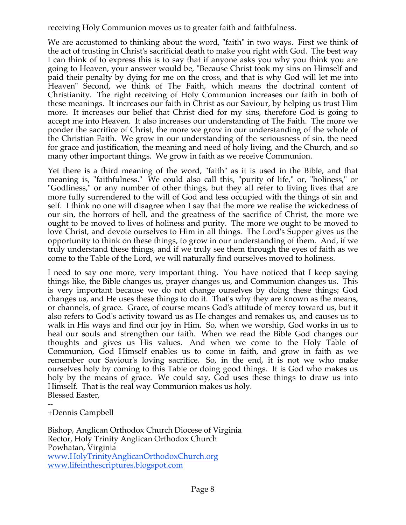receiving Holy Communion moves us to greater faith and faithfulness.

We are accustomed to thinking about the word, "faith" in two ways. First we think of the act of trusting in Christ's sacrificial death to make you right with God. The best way I can think of to express this is to say that if anyone asks you why you think you are going to Heaven, your answer would be, "Because Christ took my sins on Himself and paid their penalty by dying for me on the cross, and that is why God will let me into Heaven" Second, we think of The Faith, which means the doctrinal content of Christianity. The right receiving of Holy Communion increases our faith in both of these meanings. It increases our faith in Christ as our Saviour, by helping us trust Him more. It increases our belief that Christ died for my sins, therefore God is going to accept me into Heaven. It also increases our understanding of The Faith. The more we ponder the sacrifice of Christ, the more we grow in our understanding of the whole of the Christian Faith. We grow in our understanding of the seriousness of sin, the need for grace and justification, the meaning and need of holy living, and the Church, and so many other important things. We grow in faith as we receive Communion.

Yet there is a third meaning of the word, "faith" as it is used in the Bible, and that meaning is, "faithfulness." We could also call this, "purity of life," or, "holiness," or "Godliness," or any number of other things, but they all refer to living lives that are more fully surrendered to the will of God and less occupied with the things of sin and self. I think no one will disagree when I say that the more we realise the wickedness of our sin, the horrors of hell, and the greatness of the sacrifice of Christ, the more we ought to be moved to lives of holiness and purity. The more we ought to be moved to love Christ, and devote ourselves to Him in all things. The Lord's Supper gives us the opportunity to think on these things, to grow in our understanding of them. And, if we truly understand these things, and if we truly see them through the eyes of faith as we come to the Table of the Lord, we will naturally find ourselves moved to holiness.

I need to say one more, very important thing. You have noticed that I keep saying things like, the Bible changes us, prayer changes us, and Communion changes us. This is very important because we do not change ourselves by doing these things; God changes us, and He uses these things to do it. That's why they are known as the means, or channels, of grace. Grace, of course means God's attitude of mercy toward us, but it also refers to God's activity toward us as He changes and remakes us, and causes us to walk in His ways and find our joy in Him. So, when we worship, God works in us to heal our souls and strengthen our faith. When we read the Bible God changes our thoughts and gives us His values. And when we come to the Holy Table of Communion, God Himself enables us to come in faith, and grow in faith as we remember our Saviour's loving sacrifice. So, in the end, it is not we who make ourselves holy by coming to this Table or doing good things. It is God who makes us holy by the means of grace. We could say, God uses these things to draw us into Himself. That is the real way Communion makes us holy. Blessed Easter,

-- +Dennis Campbell

Bishop, Anglican Orthodox Church Diocese of Virginia Rector, Holy Trinity Anglican Orthodox Church Powhatan, Virginia www.HolyTrinityAnglicanOrthodoxChurch.org www.lifeinthescriptures.blogspot.com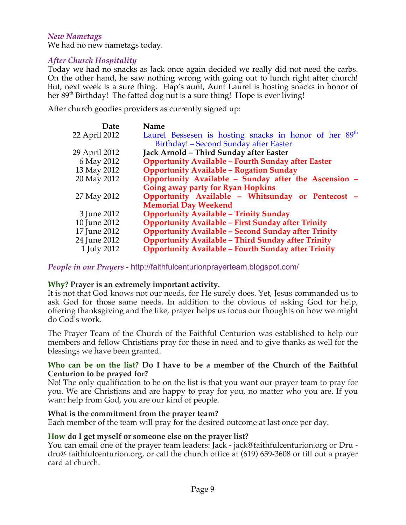#### *New Nametags*

We had no new nametags today.

### *After Church Hospitality*

Today we had no snacks as Jack once again decided we really did not need the carbs. On the other hand, he saw nothing wrong with going out to lunch right after church! But, next week is a sure thing. Hap's aunt, Aunt Laurel is hosting snacks in honor of her 89<sup>th</sup> Birthday! The fatted dog nut is a sure thing! Hope is ever living!

After church goodies providers as currently signed up:

| Date          | <b>Name</b>                                                        |
|---------------|--------------------------------------------------------------------|
| 22 April 2012 | Laurel Bessesen is hosting snacks in honor of her 89 <sup>th</sup> |
|               | Birthday! - Second Sunday after Easter                             |
| 29 April 2012 | Jack Arnold - Third Sunday after Easter                            |
| 6 May 2012    | <b>Opportunity Available - Fourth Sunday after Easter</b>          |
| 13 May 2012   | <b>Opportunity Available - Rogation Sunday</b>                     |
| 20 May 2012   | Opportunity Available - Sunday after the Ascension -               |
|               | Going away party for Ryan Hopkins                                  |
| 27 May 2012   | Opportunity Available - Whitsunday or Pentecost -                  |
|               | <b>Memorial Day Weekend</b>                                        |
| 3 June 2012   | <b>Opportunity Available - Trinity Sunday</b>                      |
| 10 June 2012  | <b>Opportunity Available - First Sunday after Trinity</b>          |
| 17 June 2012  | <b>Opportunity Available - Second Sunday after Trinity</b>         |
| 24 June 2012  | <b>Opportunity Available - Third Sunday after Trinity</b>          |
| 1 July 2012   | <b>Opportunity Available - Fourth Sunday after Trinity</b>         |
|               |                                                                    |

*People in our Prayers* - http://faithfulcenturionprayerteam.blogspot.com/

### **Why? Prayer is an extremely important activity.**

It is not that God knows not our needs, for He surely does. Yet, Jesus commanded us to ask God for those same needs. In addition to the obvious of asking God for help, offering thanksgiving and the like, prayer helps us focus our thoughts on how we might do God's work.

The Prayer Team of the Church of the Faithful Centurion was established to help our members and fellow Christians pray for those in need and to give thanks as well for the blessings we have been granted.

#### **Who can be on the list? Do I have to be a member of the Church of the Faithful Centurion to be prayed for?**

No! The only qualification to be on the list is that you want our prayer team to pray for you. We are Christians and are happy to pray for you, no matter who you are. If you want help from God, you are our kind of people.

#### **What is the commitment from the prayer team?**

Each member of the team will pray for the desired outcome at last once per day.

### **How do I get myself or someone else on the prayer list?**

You can email one of the prayer team leaders: Jack - jack@faithfulcenturion.org or Dru dru@ faithfulcenturion.org, or call the church office at (619) 659-3608 or fill out a prayer card at church.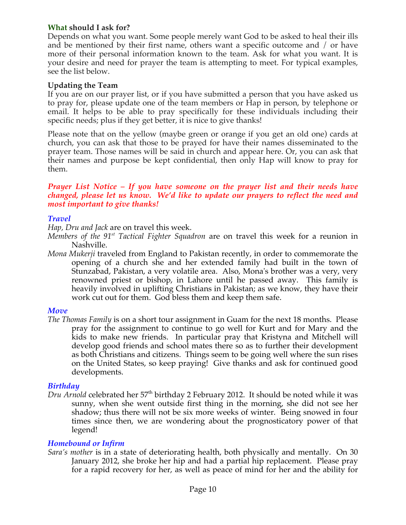### **What should I ask for?**

Depends on what you want. Some people merely want God to be asked to heal their ills and be mentioned by their first name, others want a specific outcome and / or have more of their personal information known to the team. Ask for what you want. It is your desire and need for prayer the team is attempting to meet. For typical examples, see the list below.

### **Updating the Team**

If you are on our prayer list, or if you have submitted a person that you have asked us to pray for, please update one of the team members or Hap in person, by telephone or email. It helps to be able to pray specifically for these individuals including their specific needs; plus if they get better, it is nice to give thanks!

Please note that on the yellow (maybe green or orange if you get an old one) cards at church, you can ask that those to be prayed for have their names disseminated to the prayer team. Those names will be said in church and appear here. Or, you can ask that their names and purpose be kept confidential, then only Hap will know to pray for them.

#### *Prayer List Notice – If you have someone on the prayer list and their needs have changed, please let us know. We'd like to update our prayers to reflect the need and most important to give thanks!*

### *Travel*

*Hap, Dru and Jack* are on travel this week.

- *Members of the 91st Tactical Fighter Squadron* are on travel this week for a reunion in Nashville.
- *Mona Mukerji* traveled from England to Pakistan recently, in order to commemorate the opening of a church she and her extended family had built in the town of Stunzabad, Pakistan, a very volatile area. Also, Mona's brother was a very, very renowned priest or bishop, in Lahore until he passed away. This family is heavily involved in uplifting Christians in Pakistan; as we know, they have their work cut out for them. God bless them and keep them safe.

### *Move*

*The Thomas Family* is on a short tour assignment in Guam for the next 18 months. Please pray for the assignment to continue to go well for Kurt and for Mary and the kids to make new friends. In particular pray that Kristyna and Mitchell will develop good friends and school mates there so as to further their development as both Christians and citizens. Things seem to be going well where the sun rises on the United States, so keep praying! Give thanks and ask for continued good developments.

# *Birthday*

*Dru Arnold* celebrated her 57<sup>th</sup> birthday 2 February 2012. It should be noted while it was sunny, when she went outside first thing in the morning, she did not see her shadow; thus there will not be six more weeks of winter. Being snowed in four times since then, we are wondering about the prognosticatory power of that legend!

# *Homebound or Infirm*

*Sara's mother* is in a state of deteriorating health, both physically and mentally. On 30 January 2012, she broke her hip and had a partial hip replacement. Please pray for a rapid recovery for her, as well as peace of mind for her and the ability for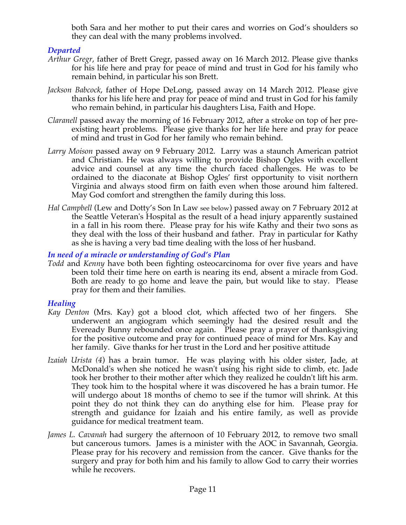both Sara and her mother to put their cares and worries on God's shoulders so they can deal with the many problems involved.

# *Departed*

- *Arthur Gregr*, father of Brett Gregr, passed away on 16 March 2012. Please give thanks for his life here and pray for peace of mind and trust in God for his family who remain behind, in particular his son Brett.
- *Jackson Babcock*, father of Hope DeLong, passed away on 14 March 2012. Please give thanks for his life here and pray for peace of mind and trust in God for his family who remain behind, in particular his daughters Lisa, Faith and Hope.
- *Claranell* passed away the morning of 16 February 2012, after a stroke on top of her preexisting heart problems. Please give thanks for her life here and pray for peace of mind and trust in God for her family who remain behind.
- *Larry Moison* passed away on 9 February 2012. Larry was a staunch American patriot and Christian. He was always willing to provide Bishop Ogles with excellent advice and counsel at any time the church faced challenges. He was to be ordained to the diaconate at Bishop Ogles' first opportunity to visit northern Virginia and always stood firm on faith even when those around him faltered. May God comfort and strengthen the family during this loss.
- *Hal Campbell* (Lew and Dotty's Son In Law see below) passed away on 7 February 2012 at the Seattle Veteran's Hospital as the result of a head injury apparently sustained in a fall in his room there. Please pray for his wife Kathy and their two sons as they deal with the loss of their husband and father. Pray in particular for Kathy as she is having a very bad time dealing with the loss of her husband.

# *In need of a miracle or understanding of God's Plan*

*Todd* and *Kenny* have both been fighting osteocarcinoma for over five years and have been told their time here on earth is nearing its end, absent a miracle from God. Both are ready to go home and leave the pain, but would like to stay. Please pray for them and their families.

# *Healing*

- *Kay Denton* (Mrs. Kay) got a blood clot, which affected two of her fingers. She underwent an angiogram which seemingly had the desired result and the Eveready Bunny rebounded once again. Please pray a prayer of thanksgiving for the positive outcome and pray for continued peace of mind for Mrs. Kay and her family. Give thanks for her trust in the Lord and her positive attitude.
- *Izaiah Urista (4*) has a brain tumor. He was playing with his older sister, Jade, at McDonald's when she noticed he wasn't using his right side to climb, etc. Jade took her brother to their mother after which they realized he couldn't lift his arm. They took him to the hospital where it was discovered he has a brain tumor. He will undergo about 18 months of chemo to see if the tumor will shrink. At this point they do not think they can do anything else for him. Please pray for strength and guidance for Izaiah and his entire family, as well as provide guidance for medical treatment team.
- *James L. Cavanah* had surgery the afternoon of 10 February 2012, to remove two small but cancerous tumors. James is a minister with the AOC in Savannah, Georgia. Please pray for his recovery and remission from the cancer. Give thanks for the surgery and pray for both him and his family to allow God to carry their worries while he recovers.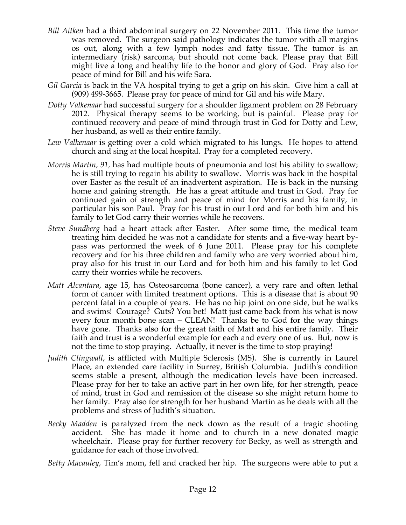- *Bill Aitken* had a third abdominal surgery on 22 November 2011. This time the tumor was removed. The surgeon said pathology indicates the tumor with all margins os out, along with a few lymph nodes and fatty tissue. The tumor is an intermediary (risk) sarcoma, but should not come back. Please pray that Bill might live a long and healthy life to the honor and glory of God. Pray also for peace of mind for Bill and his wife Sara.
- *Gil Garcia* is back in the VA hospital trying to get a grip on his skin. Give him a call at (909) 499-3665. Please pray for peace of mind for Gil and his wife Mary.
- *Dotty Valkenaar* had successful surgery for a shoulder ligament problem on 28 February 2012. Physical therapy seems to be working, but is painful. Please pray for continued recovery and peace of mind through trust in God for Dotty and Lew, her husband, as well as their entire family.
- *Lew Valkenaar* is getting over a cold which migrated to his lungs. He hopes to attend church and sing at the local hospital. Pray for a completed recovery.
- *Morris Martin, 91,* has had multiple bouts of pneumonia and lost his ability to swallow; he is still trying to regain his ability to swallow. Morris was back in the hospital over Easter as the result of an inadvertent aspiration. He is back in the nursing home and gaining strength. He has a great attitude and trust in God. Pray for continued gain of strength and peace of mind for Morris and his family, in particular his son Paul. Pray for his trust in our Lord and for both him and his family to let God carry their worries while he recovers.
- *Steve Sundberg* had a heart attack after Easter. After some time, the medical team treating him decided he was not a candidate for stents and a five-way heart bypass was performed the week of 6 June 2011. Please pray for his complete recovery and for his three children and family who are very worried about him, pray also for his trust in our Lord and for both him and his family to let God carry their worries while he recovers.
- *Matt Alcantara*, age 15, has Osteosarcoma (bone cancer), a very rare and often lethal form of cancer with limited treatment options. This is a disease that is about 90 percent fatal in a couple of years. He has no hip joint on one side, but he walks and swims! Courage? Guts? You bet! Matt just came back from his what is now every four month bone scan – CLEAN! Thanks be to God for the way things have gone. Thanks also for the great faith of Matt and his entire family. Their faith and trust is a wonderful example for each and every one of us. But, now is not the time to stop praying. Actually, it never is the time to stop praying!
- *Judith Clingwall*, is afflicted with Multiple Sclerosis (MS). She is currently in Laurel Place, an extended care facility in Surrey, British Columbia. Judith's condition seems stable a present, although the medication levels have been increased. Please pray for her to take an active part in her own life, for her strength, peace of mind, trust in God and remission of the disease so she might return home to her family. Pray also for strength for her husband Martin as he deals with all the problems and stress of Judith's situation.
- *Becky Madden* is paralyzed from the neck down as the result of a tragic shooting accident. She has made it home and to church in a new donated magic wheelchair. Please pray for further recovery for Becky, as well as strength and guidance for each of those involved.

*Betty Macauley,* Tim's mom, fell and cracked her hip. The surgeons were able to put a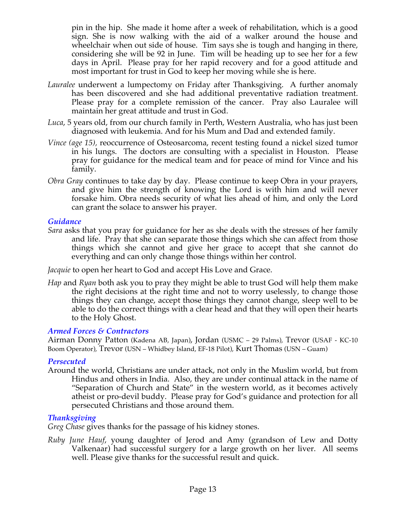pin in the hip. She made it home after a week of rehabilitation, which is a good sign. She is now walking with the aid of a walker around the house and wheelchair when out side of house. Tim says she is tough and hanging in there, considering she will be 92 in June. Tim will be heading up to see her for a few days in April. Please pray for her rapid recovery and for a good attitude and most important for trust in God to keep her moving while she is here.

- *Lauralee* underwent a lumpectomy on Friday after Thanksgiving. A further anomaly has been discovered and she had additional preventative radiation treatment. Please pray for a complete remission of the cancer. Pray also Lauralee will maintain her great attitude and trust in God.
- *Luca*, 5 years old, from our church family in Perth, Western Australia, who has just been diagnosed with leukemia. And for his Mum and Dad and extended family.
- *Vince (age 15),* reoccurrence of Osteosarcoma, recent testing found a nickel sized tumor in his lungs. The doctors are consulting with a specialist in Houston. Please pray for guidance for the medical team and for peace of mind for Vince and his family.
- *Obra Gray* continues to take day by day. Please continue to keep Obra in your prayers, and give him the strength of knowing the Lord is with him and will never forsake him. Obra needs security of what lies ahead of him, and only the Lord can grant the solace to answer his prayer.

### *Guidance*

*Sara* asks that you pray for guidance for her as she deals with the stresses of her family and life. Pray that she can separate those things which she can affect from those things which she cannot and give her grace to accept that she cannot do everything and can only change those things within her control.

*Jacquie* to open her heart to God and accept His Love and Grace.

*Hap* and *Ryan* both ask you to pray they might be able to trust God will help them make the right decisions at the right time and not to worry uselessly, to change those things they can change, accept those things they cannot change, sleep well to be able to do the correct things with a clear head and that they will open their hearts to the Holy Ghost.

# *Armed Forces & Contractors*

Airman Donny Patton (Kadena AB, Japan), Jordan (USMC – 29 Palms), Trevor (USAF - KC-10 Boom Operator), Trevor (USN – Whidbey Island, EF-18 Pilot), Kurt Thomas (USN – Guam)

# *Persecuted*

Around the world, Christians are under attack, not only in the Muslim world, but from Hindus and others in India. Also, they are under continual attack in the name of "Separation of Church and State" in the western world, as it becomes actively atheist or pro-devil buddy. Please pray for God's guidance and protection for all persecuted Christians and those around them.

# *Thanksgiving*

*Greg Chase* gives thanks for the passage of his kidney stones.

*Ruby June Hauf*, young daughter of Jerod and Amy (grandson of Lew and Dotty Valkenaar) had successful surgery for a large growth on her liver. All seems well. Please give thanks for the successful result and quick.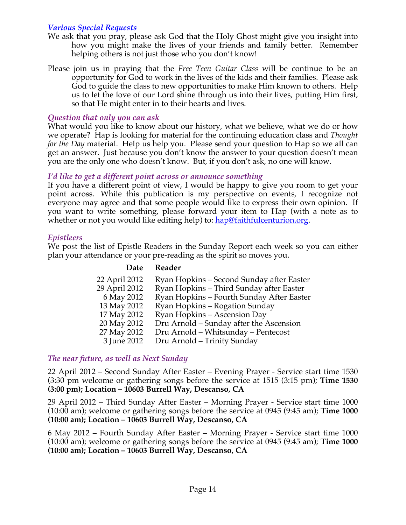# *Various Special Requests*

- We ask that you pray, please ask God that the Holy Ghost might give you insight into how you might make the lives of your friends and family better. Remember helping others is not just those who you don't know!
- Please join us in praying that the *Free Teen Guitar Class* will be continue to be an opportunity for God to work in the lives of the kids and their families. Please ask God to guide the class to new opportunities to make Him known to others. Help us to let the love of our Lord shine through us into their lives, putting Him first, so that He might enter in to their hearts and lives.

### *Question that only you can ask*

What would you like to know about our history, what we believe, what we do or how we operate? Hap is looking for material for the continuing education class and *Thought for the Day* material. Help us help you. Please send your question to Hap so we all can get an answer. Just because you don't know the answer to your question doesn't mean you are the only one who doesn't know. But, if you don't ask, no one will know.

### *I'd like to get a different point across or announce something*

If you have a different point of view, I would be happy to give you room to get your point across. While this publication is my perspective on events, I recognize not everyone may agree and that some people would like to express their own opinion. If you want to write something, please forward your item to Hap (with a note as to whether or not you would like editing help) to: hap@faithfulcenturion.org.

### *Epistleers*

We post the list of Epistle Readers in the Sunday Report each week so you can either plan your attendance or your pre-reading as the spirit so moves you.

### **Date Reader**

| 22 April 2012 | Ryan Hopkins – Second Sunday after Easter |
|---------------|-------------------------------------------|
| 29 April 2012 | Ryan Hopkins - Third Sunday after Easter  |
| 6 May 2012    | Ryan Hopkins – Fourth Sunday After Easter |
| 13 May 2012   | Ryan Hopkins – Rogation Sunday            |
| 17 May 2012   | Ryan Hopkins – Ascension Day              |
| 20 May 2012   | Dru Arnold – Sunday after the Ascension   |
| 27 May 2012   | Dru Arnold - Whitsunday - Pentecost       |
| 3 June 2012   | Dru Arnold - Trinity Sunday               |

# *The near future, as well as Next Sunday*

22 April 2012 – Second Sunday After Easter – Evening Prayer - Service start time 1530 (3:30 pm welcome or gathering songs before the service at 1515 (3:15 pm); **Time 1530 (3:00 pm); Location – 10603 Burrell Way, Descanso, CA**

29 April 2012 – Third Sunday After Easter – Morning Prayer - Service start time 1000 (10:00 am); welcome or gathering songs before the service at 0945 (9:45 am); **Time 1000 (10:00 am); Location – 10603 Burrell Way, Descanso, CA**

6 May 2012 – Fourth Sunday After Easter – Morning Prayer - Service start time 1000 (10:00 am); welcome or gathering songs before the service at 0945 (9:45 am); **Time 1000 (10:00 am); Location – 10603 Burrell Way, Descanso, CA**